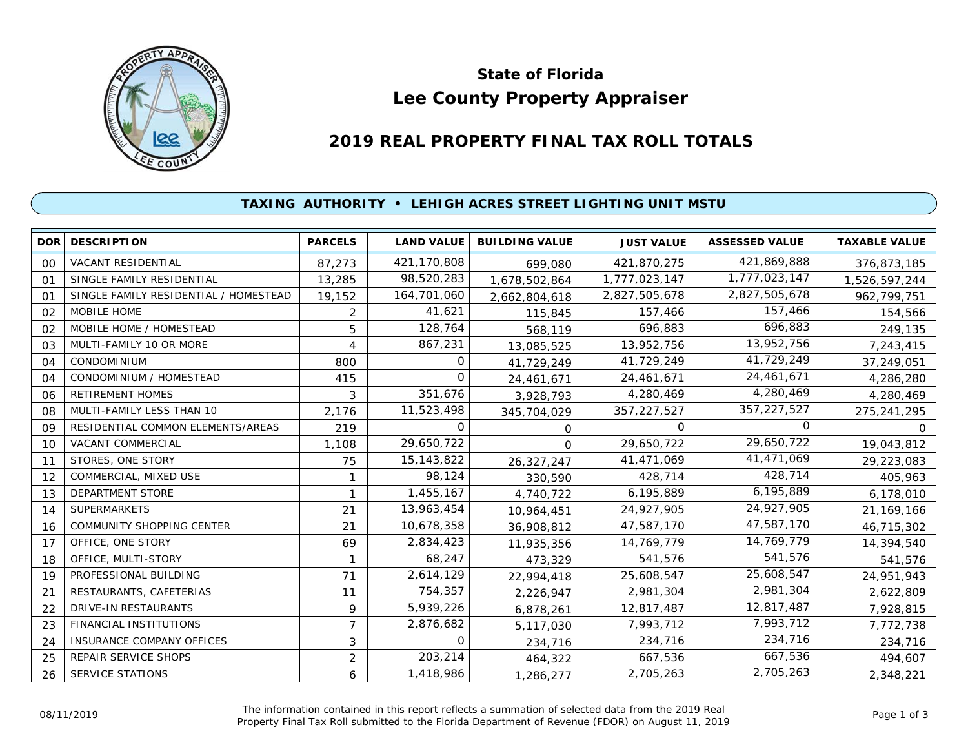

# **Lee County Property Appraiser State of Florida**

# **2019 REAL PROPERTY FINAL TAX ROLL TOTALS**

## **TAXING AUTHORITY • LEHIGH ACRES STREET LIGHTING UNIT MSTU**

|                | <b>DOR DESCRIPTION</b>                | <b>PARCELS</b> | <b>LAND VALUE</b> | <b>BUILDING VALUE</b> | <b>JUST VALUE</b> | <b>ASSESSED VALUE</b> | <b>TAXABLE VALUE</b> |
|----------------|---------------------------------------|----------------|-------------------|-----------------------|-------------------|-----------------------|----------------------|
| 00             | <b>VACANT RESIDENTIAL</b>             | 87,273         | 421,170,808       | 699,080               | 421,870,275       | 421,869,888           | 376,873,185          |
| O <sub>1</sub> | SINGLE FAMILY RESIDENTIAL             | 13,285         | 98,520,283        | 1,678,502,864         | 1,777,023,147     | 1,777,023,147         | 1,526,597,244        |
| 01             | SINGLE FAMILY RESIDENTIAL / HOMESTEAD | 19,152         | 164,701,060       | 2,662,804,618         | 2,827,505,678     | 2,827,505,678         | 962,799,751          |
| 02             | MOBILE HOME                           | 2              | 41,621            | 115,845               | 157,466           | 157,466               | 154,566              |
| 02             | MOBILE HOME / HOMESTEAD               | 5              | 128,764           | 568,119               | 696,883           | 696,883               | 249,135              |
| 03             | MULTI-FAMILY 10 OR MORE               | 4              | 867,231           | 13,085,525            | 13,952,756        | 13,952,756            | 7,243,415            |
| 04             | CONDOMINIUM                           | 800            | 0                 | 41,729,249            | 41,729,249        | 41,729,249            | 37,249,051           |
| 04             | CONDOMINIUM / HOMESTEAD               | 415            | 0                 | 24,461,671            | 24,461,671        | 24,461,671            | 4,286,280            |
| 06             | <b>RETIREMENT HOMES</b>               | 3              | 351,676           | 3,928,793             | 4,280,469         | 4,280,469             | 4,280,469            |
| 08             | MULTI-FAMILY LESS THAN 10             | 2,176          | 11,523,498        | 345,704,029           | 357,227,527       | 357,227,527           | 275,241,295          |
| 09             | RESIDENTIAL COMMON ELEMENTS/AREAS     | 219            | $\Omega$          | 0                     | $\Omega$          | 0                     | $\Omega$             |
| 10             | VACANT COMMERCIAL                     | 1,108          | 29,650,722        | $\Omega$              | 29,650,722        | 29,650,722            | 19,043,812           |
| 11             | STORES, ONE STORY                     | 75             | 15, 143, 822      | 26,327,247            | 41,471,069        | 41,471,069            | 29,223,083           |
| 12             | COMMERCIAL, MIXED USE                 |                | 98,124            | 330,590               | 428,714           | 428,714               | 405,963              |
| 13             | DEPARTMENT STORE                      |                | 1,455,167         | 4,740,722             | 6,195,889         | 6,195,889             | 6,178,010            |
| 14             | <b>SUPERMARKETS</b>                   | 21             | 13,963,454        | 10,964,451            | 24,927,905        | 24,927,905            | 21,169,166           |
| 16             | COMMUNITY SHOPPING CENTER             | 21             | 10,678,358        | 36,908,812            | 47,587,170        | 47,587,170            | 46,715,302           |
| 17             | OFFICE, ONE STORY                     | 69             | 2,834,423         | 11,935,356            | 14,769,779        | 14,769,779            | 14,394,540           |
| 18             | OFFICE, MULTI-STORY                   | 1              | 68,247            | 473,329               | 541,576           | 541,576               | 541,576              |
| 19             | PROFESSIONAL BUILDING                 | 71             | 2,614,129         | 22,994,418            | 25,608,547        | 25,608,547            | 24,951,943           |
| 21             | RESTAURANTS, CAFETERIAS               | 11             | 754,357           | 2,226,947             | 2,981,304         | 2,981,304             | 2,622,809            |
| 22             | DRIVE-IN RESTAURANTS                  | 9              | 5,939,226         | 6,878,261             | 12,817,487        | 12,817,487            | 7,928,815            |
| 23             | <b>FINANCIAL INSTITUTIONS</b>         | 7              | 2,876,682         | 5,117,030             | 7,993,712         | 7,993,712             | 7,772,738            |
| 24             | <b>INSURANCE COMPANY OFFICES</b>      | 3              | 0                 | 234,716               | 234,716           | 234,716               | 234,716              |
| 25             | REPAIR SERVICE SHOPS                  | $\overline{2}$ | 203,214           | 464,322               | 667,536           | 667,536               | 494,607              |
| 26             | SERVICE STATIONS                      | 6              | 1,418,986         | 1,286,277             | 2,705,263         | 2,705,263             | 2,348,221            |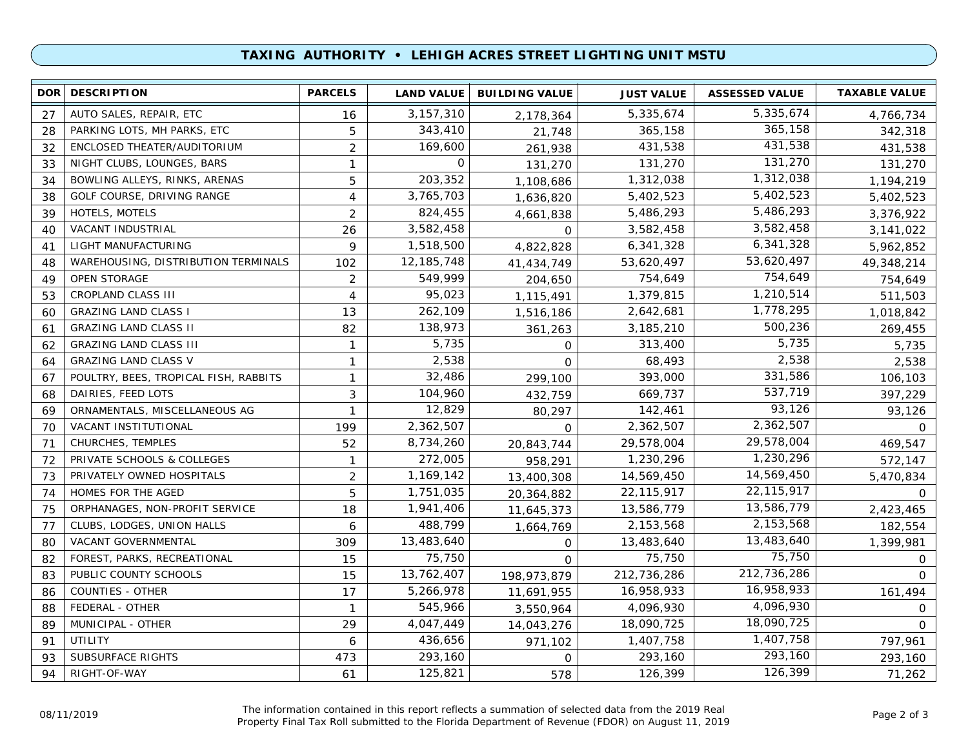### **TAXING AUTHORITY • LEHIGH ACRES STREET LIGHTING UNIT MSTU**

| DOR <b>I</b> | <b>DESCRIPTION</b>                    | <b>PARCELS</b> | <b>LAND VALUE</b> | <b>BUILDING VALUE</b> | <b>JUST VALUE</b> | <b>ASSESSED VALUE</b> | <b>TAXABLE VALUE</b> |
|--------------|---------------------------------------|----------------|-------------------|-----------------------|-------------------|-----------------------|----------------------|
| 27           | AUTO SALES, REPAIR, ETC               | 16             | 3, 157, 310       | 2,178,364             | 5,335,674         | 5,335,674             | 4,766,734            |
| 28           | PARKING LOTS, MH PARKS, ETC           | 5              | 343,410           | 21,748                | 365,158           | 365,158               | 342,318              |
| 32           | ENCLOSED THEATER/AUDITORIUM           | $\overline{2}$ | 169,600           | 261,938               | 431,538           | 431,538               | 431,538              |
| 33           | NIGHT CLUBS, LOUNGES, BARS            | $\mathbf{1}$   | $\Omega$          | 131,270               | 131,270           | 131,270               | 131,270              |
| 34           | BOWLING ALLEYS, RINKS, ARENAS         | 5              | 203,352           | 1,108,686             | 1,312,038         | 1,312,038             | 1,194,219            |
| 38           | GOLF COURSE, DRIVING RANGE            | 4              | 3,765,703         | 1,636,820             | 5,402,523         | 5,402,523             | 5,402,523            |
| 39           | HOTELS, MOTELS                        | $\overline{2}$ | 824,455           | 4,661,838             | 5,486,293         | 5,486,293             | 3,376,922            |
| 40           | <b>VACANT INDUSTRIAL</b>              | 26             | 3,582,458         | $\mathbf 0$           | 3,582,458         | 3,582,458             | 3,141,022            |
| 41           | LIGHT MANUFACTURING                   | 9              | 1,518,500         | 4,822,828             | 6,341,328         | 6,341,328             | 5,962,852            |
| 48           | WAREHOUSING, DISTRIBUTION TERMINALS   | 102            | 12, 185, 748      | 41,434,749            | 53,620,497        | 53,620,497            | 49,348,214           |
| 49           | <b>OPEN STORAGE</b>                   | $\overline{2}$ | 549,999           | 204,650               | 754,649           | 754,649               | 754,649              |
| 53           | CROPLAND CLASS III                    | 4              | 95,023            | 1,115,491             | 1,379,815         | 1,210,514             | 511,503              |
| 60           | <b>GRAZING LAND CLASS I</b>           | 13             | 262,109           | 1,516,186             | 2,642,681         | 1,778,295             | 1,018,842            |
| 61           | <b>GRAZING LAND CLASS II</b>          | 82             | 138,973           | 361,263               | 3,185,210         | 500,236               | 269,455              |
| 62           | <b>GRAZING LAND CLASS III</b>         | 1              | 5,735             | $\mathbf 0$           | 313,400           | 5,735                 | 5,735                |
| 64           | <b>GRAZING LAND CLASS V</b>           | 1              | 2,538             | $\Omega$              | 68,493            | 2,538                 | 2,538                |
| 67           | POULTRY, BEES, TROPICAL FISH, RABBITS | $\mathbf{1}$   | 32,486            | 299,100               | 393,000           | 331,586               | 106,103              |
| 68           | DAIRIES, FEED LOTS                    | 3              | 104,960           | 432,759               | 669,737           | 537,719               | 397,229              |
| 69           | ORNAMENTALS, MISCELLANEOUS AG         | 1              | 12,829            | 80,297                | 142,461           | 93,126                | 93,126               |
| 70           | VACANT INSTITUTIONAL                  | 199            | 2,362,507         | $\Omega$              | 2,362,507         | 2,362,507             | 0                    |
| 71           | CHURCHES, TEMPLES                     | 52             | 8,734,260         | 20,843,744            | 29,578,004        | 29,578,004            | 469,547              |
| 72           | PRIVATE SCHOOLS & COLLEGES            | $\mathbf{1}$   | 272,005           | 958,291               | 1,230,296         | 1,230,296             | 572,147              |
| 73           | PRIVATELY OWNED HOSPITALS             | $\overline{2}$ | 1,169,142         | 13,400,308            | 14,569,450        | 14,569,450            | 5,470,834            |
| 74           | HOMES FOR THE AGED                    | 5              | 1,751,035         | 20,364,882            | 22,115,917        | 22,115,917            | $\Omega$             |
| 75           | ORPHANAGES, NON-PROFIT SERVICE        | 18             | 1,941,406         | 11,645,373            | 13,586,779        | 13,586,779            | 2,423,465            |
| 77           | CLUBS, LODGES, UNION HALLS            | 6              | 488,799           | 1,664,769             | 2,153,568         | 2,153,568             | 182,554              |
| 80           | VACANT GOVERNMENTAL                   | 309            | 13,483,640        | 0                     | 13,483,640        | 13,483,640            | 1,399,981            |
| 82           | FOREST, PARKS, RECREATIONAL           | 15             | 75,750            | 0                     | 75,750            | 75,750                | $\mathbf{O}$         |
| 83           | PUBLIC COUNTY SCHOOLS                 | 15             | 13,762,407        | 198,973,879           | 212,736,286       | 212,736,286           | $\Omega$             |
| 86           | COUNTIES - OTHER                      | 17             | 5,266,978         | 11,691,955            | 16,958,933        | 16,958,933            | 161,494              |
| 88           | FEDERAL - OTHER                       | $\mathbf{1}$   | 545,966           | 3,550,964             | 4,096,930         | 4,096,930             | 0                    |
| 89           | MUNICIPAL - OTHER                     | 29             | 4,047,449         | 14,043,276            | 18,090,725        | 18,090,725            | $\Omega$             |
| 91           | <b>UTILITY</b>                        | 6              | 436,656           | 971,102               | 1,407,758         | 1,407,758             | 797,961              |
| 93           | SUBSURFACE RIGHTS                     | 473            | 293,160           | $\Omega$              | 293,160           | 293,160               | 293,160              |
| 94           | RIGHT-OF-WAY                          | 61             | 125,821           | 578                   | 126,399           | 126,399               | 71,262               |